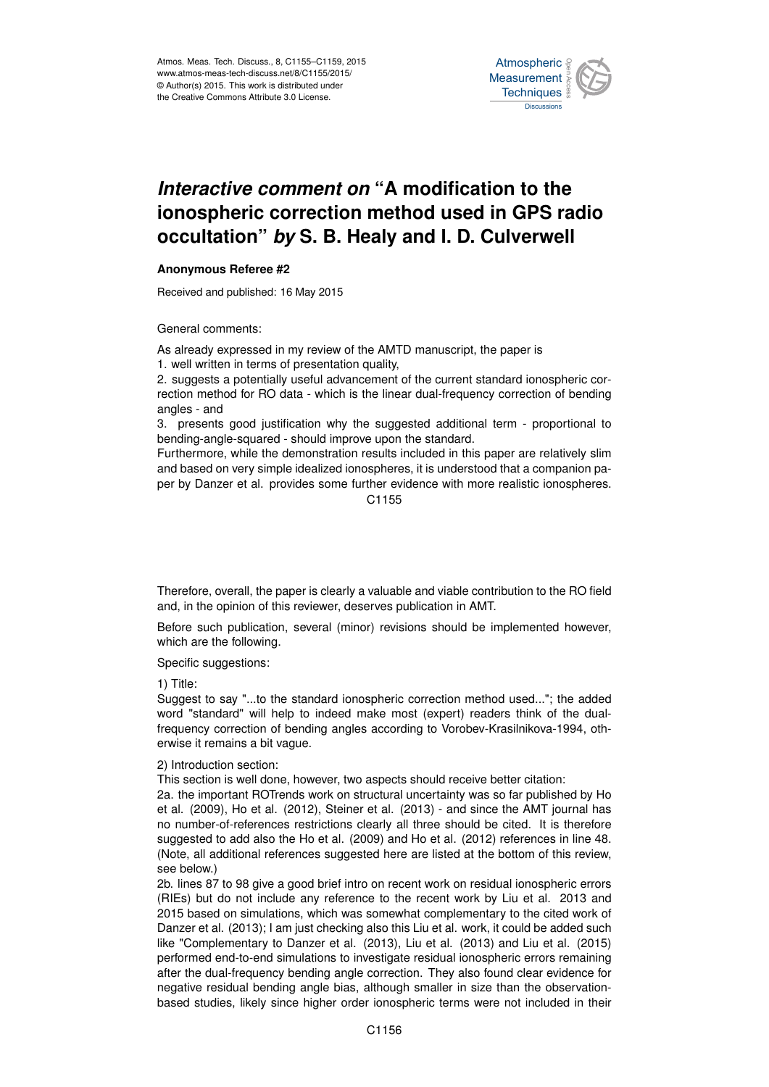

## *Interactive comment on* **"A modification to the ionospheric correction method used in GPS radio occultation"** *by* **S. B. Healy and I. D. Culverwell**

## **Anonymous Referee #2**

Received and published: 16 May 2015

General comments:

As already expressed in my review of the AMTD manuscript, the paper is

1. well written in terms of presentation quality,

2. suggests a potentially useful advancement of the current standard ionospheric correction method for RO data - which is the linear dual-frequency correction of bending angles - and

3. presents good justification why the suggested additional term - proportional to bending-angle-squared - should improve upon the standard.

Furthermore, while the demonstration results included in this paper are relatively slim and based on very simple idealized ionospheres, it is understood that a companion paper by Danzer et al. provides some further evidence with more realistic ionospheres.

C1155

Therefore, overall, the paper is clearly a valuable and viable contribution to the RO field and, in the opinion of this reviewer, deserves publication in AMT.

Before such publication, several (minor) revisions should be implemented however, which are the following.

Specific suggestions:

1) Title:

Suggest to say "...to the standard ionospheric correction method used..."; the added word "standard" will help to indeed make most (expert) readers think of the dualfrequency correction of bending angles according to Vorobev-Krasilnikova-1994, otherwise it remains a bit vague.

2) Introduction section:

This section is well done, however, two aspects should receive better citation:

2a. the important ROTrends work on structural uncertainty was so far published by Ho et al. (2009), Ho et al. (2012), Steiner et al. (2013) - and since the AMT journal has no number-of-references restrictions clearly all three should be cited. It is therefore suggested to add also the Ho et al. (2009) and Ho et al. (2012) references in line 48. (Note, all additional references suggested here are listed at the bottom of this review, see below.)

2b. lines 87 to 98 give a good brief intro on recent work on residual ionospheric errors (RIEs) but do not include any reference to the recent work by Liu et al. 2013 and 2015 based on simulations, which was somewhat complementary to the cited work of Danzer et al. (2013); I am just checking also this Liu et al. work, it could be added such like "Complementary to Danzer et al. (2013), Liu et al. (2013) and Liu et al. (2015) performed end-to-end simulations to investigate residual ionospheric errors remaining after the dual-frequency bending angle correction. They also found clear evidence for negative residual bending angle bias, although smaller in size than the observationbased studies, likely since higher order ionospheric terms were not included in their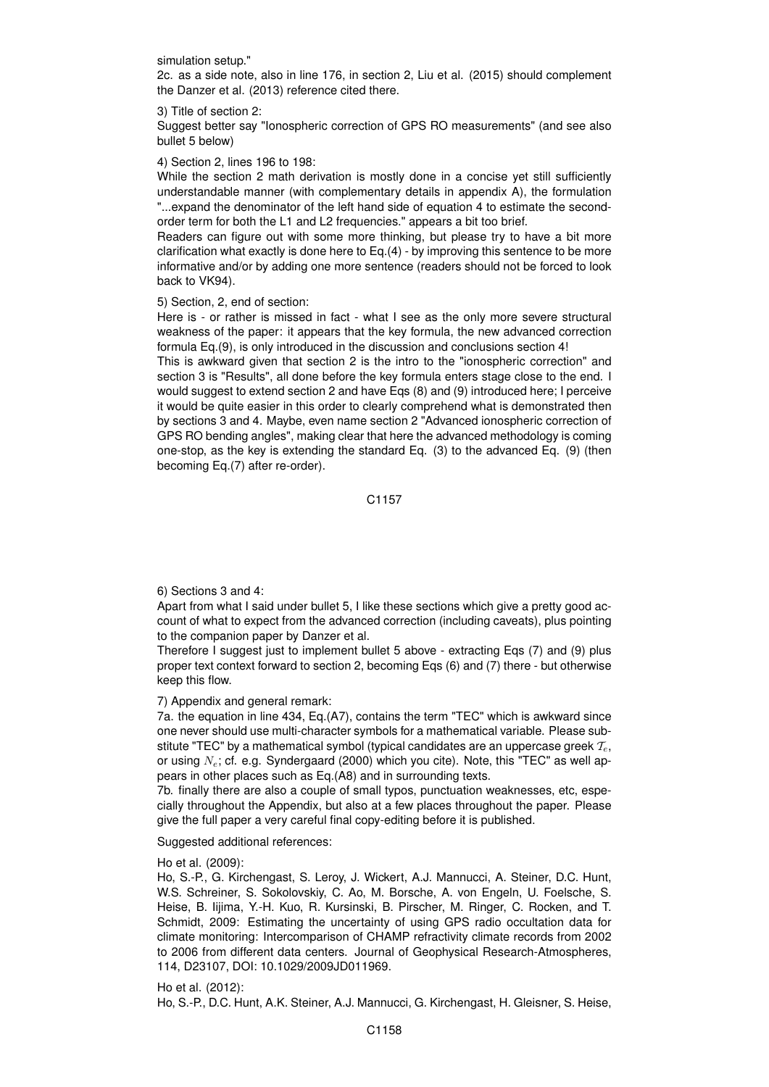simulation setup."

2c. as a side note, also in line 176, in section 2, Liu et al. (2015) should complement the Danzer et al. (2013) reference cited there.

3) Title of section 2:

Suggest better say "Ionospheric correction of GPS RO measurements" (and see also bullet 5 below)

4) Section 2, lines 196 to 198:

While the section 2 math derivation is mostly done in a concise yet still sufficiently understandable manner (with complementary details in appendix A), the formulation "...expand the denominator of the left hand side of equation 4 to estimate the secondorder term for both the L1 and L2 frequencies." appears a bit too brief.

Readers can figure out with some more thinking, but please try to have a bit more clarification what exactly is done here to Eq.(4) - by improving this sentence to be more informative and/or by adding one more sentence (readers should not be forced to look back to VK94).

5) Section, 2, end of section:

Here is - or rather is missed in fact - what I see as the only more severe structural weakness of the paper: it appears that the key formula, the new advanced correction formula Eq.(9), is only introduced in the discussion and conclusions section 4!

This is awkward given that section 2 is the intro to the "ionospheric correction" and section 3 is "Results", all done before the key formula enters stage close to the end. I would suggest to extend section 2 and have Eqs (8) and (9) introduced here; I perceive it would be quite easier in this order to clearly comprehend what is demonstrated then by sections 3 and 4. Maybe, even name section 2 "Advanced ionospheric correction of GPS RO bending angles", making clear that here the advanced methodology is coming one-stop, as the key is extending the standard Eq. (3) to the advanced Eq. (9) (then becoming Eq.(7) after re-order).

C1157

6) Sections 3 and 4:

Apart from what I said under bullet 5, I like these sections which give a pretty good account of what to expect from the advanced correction (including caveats), plus pointing to the companion paper by Danzer et al.

Therefore I suggest just to implement bullet 5 above - extracting Eqs (7) and (9) plus proper text context forward to section 2, becoming Eqs (6) and (7) there - but otherwise keep this flow.

7) Appendix and general remark:

7a. the equation in line 434, Eq.(A7), contains the term "TEC" which is awkward since one never should use multi-character symbols for a mathematical variable. Please substitute "TEC" by a mathematical symbol (typical candidates are an uppercase greek  $\mathcal{T}_{e}$ , or using  $N_e$ ; cf. e.g. Syndergaard (2000) which you cite). Note, this "TEC" as well appears in other places such as Eq.(A8) and in surrounding texts.

7b. finally there are also a couple of small typos, punctuation weaknesses, etc, especially throughout the Appendix, but also at a few places throughout the paper. Please give the full paper a very careful final copy-editing before it is published.

Suggested additional references:

Ho et al. (2009):

Ho, S.-P., G. Kirchengast, S. Leroy, J. Wickert, A.J. Mannucci, A. Steiner, D.C. Hunt, W.S. Schreiner, S. Sokolovskiy, C. Ao, M. Borsche, A. von Engeln, U. Foelsche, S. Heise, B. Iijima, Y.-H. Kuo, R. Kursinski, B. Pirscher, M. Ringer, C. Rocken, and T. Schmidt, 2009: Estimating the uncertainty of using GPS radio occultation data for climate monitoring: Intercomparison of CHAMP refractivity climate records from 2002 to 2006 from different data centers. Journal of Geophysical Research-Atmospheres, 114, D23107, DOI: 10.1029/2009JD011969.

Ho et al. (2012): Ho, S.-P., D.C. Hunt, A.K. Steiner, A.J. Mannucci, G. Kirchengast, H. Gleisner, S. Heise,